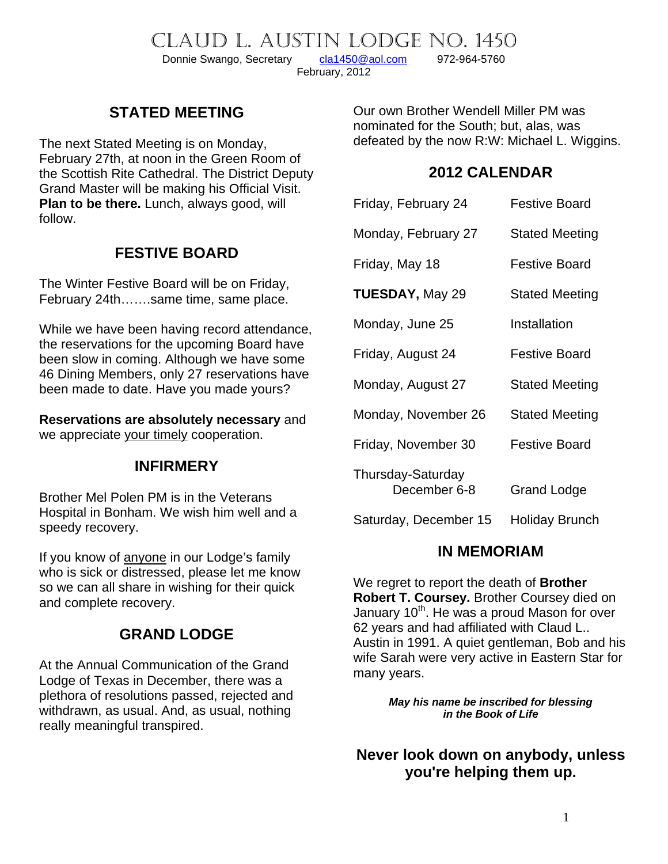CLAUD L. AUSTIN LODGE NO. 1450<br>Donnie Swango, Secretary cla1450@aol.com 972-964-5760

Donnie Swango, Secretary [cla1450@aol.com](mailto:cla1450@aol.com) 972-964-5760 February, 2012

# **STATED MEETING**

The next Stated Meeting is on Monday, February 27th, at noon in the Green Room of the Scottish Rite Cathedral. The District Deputy Grand Master will be making his Official Visit. **Plan to be there.** Lunch, always good, will follow.

### **FESTIVE BOARD**

The Winter Festive Board will be on Friday, February 24th…….same time, same place.

While we have been having record attendance, the reservations for the upcoming Board have been slow in coming. Although we have some 46 Dining Members, only 27 reservations have been made to date. Have you made yours?

**Reservations are absolutely necessary** and we appreciate your timely cooperation.

### **INFIRMERY**

Brother Mel Polen PM is in the Veterans Hospital in Bonham. We wish him well and a speedy recovery.

If you know of anyone in our Lodge's family who is sick or distressed, please let me know so we can all share in wishing for their quick and complete recovery.

## **GRAND LODGE**

At the Annual Communication of the Grand Lodge of Texas in December, there was a plethora of resolutions passed, rejected and withdrawn, as usual. And, as usual, nothing really meaningful transpired.

Our own Brother Wendell Miller PM was nominated for the South; but, alas, was defeated by the now R:W: Michael L. Wiggins.

### **2012 CALENDAR**

| Friday, February 24               | <b>Festive Board</b>  |
|-----------------------------------|-----------------------|
| Monday, February 27               | <b>Stated Meeting</b> |
| Friday, May 18                    | <b>Festive Board</b>  |
| <b>TUESDAY, May 29</b>            | <b>Stated Meeting</b> |
| Monday, June 25                   | Installation          |
| Friday, August 24                 | <b>Festive Board</b>  |
| Monday, August 27                 | <b>Stated Meeting</b> |
| Monday, November 26               | <b>Stated Meeting</b> |
| Friday, November 30               | <b>Festive Board</b>  |
| Thursday-Saturday<br>December 6-8 | Grand Lodge           |
| Saturday, December 15             | Holiday Brunch        |

### **IN MEMORIAM**

We regret to report the death of **Brother Robert T. Coursey.** Brother Coursey died on January  $10<sup>th</sup>$ . He was a proud Mason for over 62 years and had affiliated with Claud L.. Austin in 1991. A quiet gentleman, Bob and his wife Sarah were very active in Eastern Star for many years.

> *May his name be inscribed for blessing in the Book of Life*

**Never look down on anybody, unless you're helping them up.**